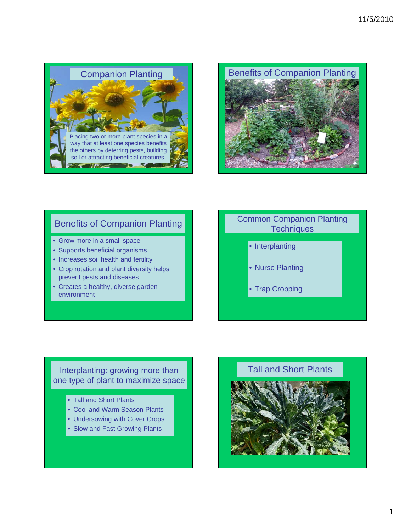



## Benefits of Companion Planting

- Grow more in a small space
- Supports beneficial organisms
- Increases soil health and fertility
- Crop rotation and plant diversity helps prevent pests and diseases
- Creates a healthy, diverse garden environment

## Common Companion Planting **Techniques**

- Interplanting
- Nurse Planting
- Trap Cropping

## Interplanting: growing more than one type of plant to maximize space

- Tall and Short Plants
- Cool and Warm Season Plants
- Undersowing with Cover Crops
- Slow and Fast Growing Plants

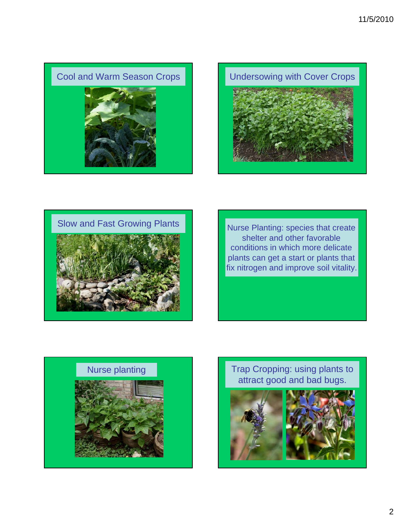







shelter and other favorable conditions in which more delicate plants can get a start or plants that fix nitrogen and improve soil vitality.